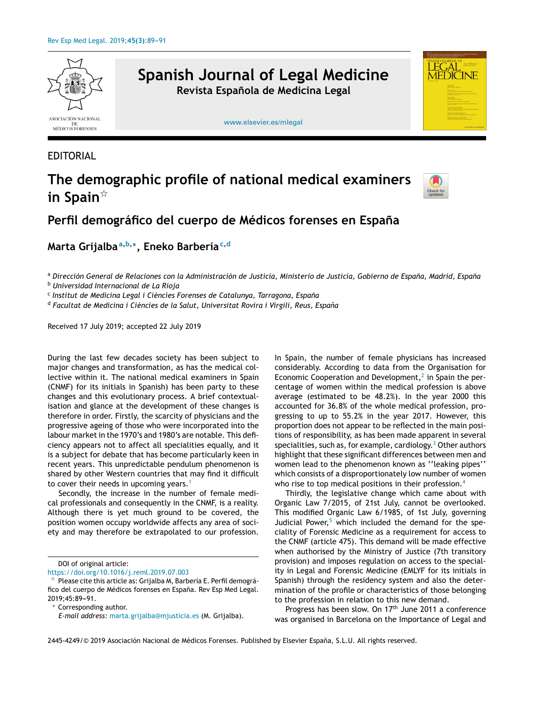

**Spanish Journal of Legal Medicine Revista Española de Medicina Legal**

[www.elsevier.es/mlegal](http://www.elsevier.es/mlegal)

## EDITORIAL

## **The demographic profile of national medical examiners in Spain**-



LEGAL **MEDICINE** 

## **Perfil demográfico del cuerpo de Médicos forenses en España**

**Marta Grijalba<sup>a</sup>**,**b**,<sup>∗</sup> **, Eneko Barbería<sup>c</sup>**,**<sup>d</sup>**

a Dirección General de Relaciones con la Administración de Justicia, Ministerio de Justicia, Gobierno de España, Madrid, España

<sup>b</sup> *Universidad Internacional de La Rioja*

c *Institut de Medicina Legal i Ciències Forenses de Catalunya, Tarragona, Espana˜*

<sup>d</sup> *Facultat de Medicina i Ciències de la Salut, Universitat Rovira i Virgili, Reus, Espana˜*

Received 17 July 2019; accepted 22 July 2019

During the last few decades society has been subject to major changes and transformation, as has the medical collective within it. The national medical examiners in Spain (CNMF) for its initials in Spanish) has been party to these changes and this evolutionary process. A brief contextualisation and glance at the development of these changes is therefore in order. Firstly, the scarcity of physicians and the progressive ageing of those who were incorporated into the labour market in the 1970's and 1980's are notable. This deficiency appears not to affect all specialities equally, and it is a subject for debate that has become particularly keen in recent years. This unpredictable pendulum phenomenon is shared by other Western countries that may find it difficult to cover their needs in upcoming years.<sup>[1](#page-1-0)</sup>

Secondly, the increase in the number of female medical professionals and consequently in the CNMF, is a reality. Although there is yet much ground to be covered, the position women occupy worldwide affects any area of society and may therefore be extrapolated to our profession.

<https://doi.org/10.1016/j.reml.2019.07.003> -

<sup>∗</sup> Corresponding author.

In Spain, the number of female physicians has increased considerably. According to data from the Organisation for Economic Cooperation and Development, $<sup>2</sup>$  $<sup>2</sup>$  $<sup>2</sup>$  in Spain the per-</sup> centage of women within the medical profession is above average (estimated to be 48.2%). In the year 2000 this accounted for 36.8% of the whole medical profession, progressing to up to 55.2% in the year 2017. However, this proportion does not appear to be reflected in the main positions of responsibility, as has been made apparent in several specialities, such as, for example, cardiology. $3$  [O](#page-2-0)ther authors highlight that these significant differences between men and women lead to the phenomenon known as ''leaking pipes'' which consists of a disproportionately low number of women who rise to top medical positions in their profession.<sup>[4](#page-2-0)</sup>

Thirdly, the legislative change which came about with Organic Law 7/2015, of 21st July, cannot be overlooked. This modified Organic Law 6/1985, of 1st July, governing Judicial Power, $5$  which included the demand for the speciality of Forensic Medicine as a requirement for access to the CNMF (article 475). This demand will be made effective when authorised by the Ministry of Justice (7th transitory provision) and imposes regulation on access to the speciality in Legal and Forensic Medicine (EMLYF for its initials in Spanish) through the residency system and also the determination of the profile or characteristics of those belonging to the profession in relation to this new demand.

Progress has been slow. On 17<sup>th</sup> June 2011 a conference was organised in Barcelona on the Importance of Legal and

2445-4249/© 2019 Asociación Nacional de Médicos Forenses. Published by Elsevier España, S.L.U. All rights reserved.

DOI of original article:

Please cite this article as: Grijalba M, Barbería E. Perfil demográfico del cuerpo de Médicos forenses en España. Rev Esp Med Legal. 2019;45:89-91.

*E-mail address:* [marta.grijalba@mjusticia.es](mailto:marta.grijalba@mjusticia.es) (M. Grijalba).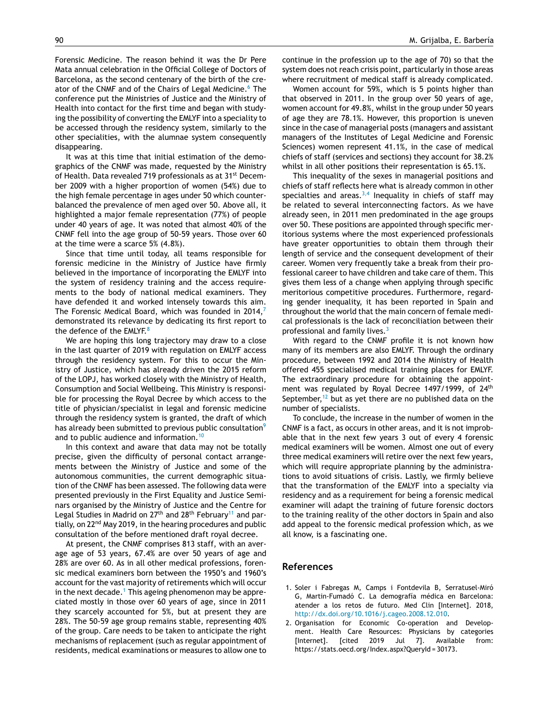<span id="page-1-0"></span>Forensic Medicine. The reason behind it was the Dr Pere Mata annual celebration in the Official College of Doctors of Barcelona, as the second centenary of the birth of the cre-ator of the CNMF and of the Chairs of Legal Medicine.<sup>[6](#page-2-0)</sup> The conference put the Ministries of Justice and the Ministry of Health into contact for the first time and began with studying the possibility of converting the EMLYF into a speciality to be accessed through the residency system, similarly to the other specialities, with the alumnae system consequently disappearing.

It was at this time that initial estimation of the demographics of the CNMF was made, requested by the Ministry of Health. Data revealed 719 professionals as at 31<sup>st</sup> December 2009 with a higher proportion of women (54%) due to the high female percentage in ages under 50 which counterbalanced the prevalence of men aged over 50. Above all, it highlighted a major female representation (77%) of people under 40 years of age. It was noted that almost 40% of the CNMF fell into the age group of 50-59 years. Those over 60 at the time were a scarce 5% (4.8%).

Since that time until today, all teams responsible for forensic medicine in the Ministry of Justice have firmly believed in the importance of incorporating the EMLYF into the system of residency training and the access requirements to the body of national medical examiners. They have defended it and worked intensely towards this aim. The Forensic Medical Board, which was founded in 2014, $<sup>7</sup>$  $<sup>7</sup>$  $<sup>7</sup>$ </sup> demonstrated its relevance by dedicating its first report to the defence of the EMLYF.<sup>[8](#page-2-0)</sup>

We are hoping this long trajectory may draw to a close in the last quarter of 2019 with regulation on EMLYF access through the residency system. For this to occur the Ministry of Justice, which has already driven the 2015 reform of the LOPJ, has worked closely with the Ministry of Health, Consumption and Social Wellbeing. This Ministry is responsible for processing the Royal Decree by which access to the title of physician/specialist in legal and forensic medicine through the residency system is granted, the draft of which has already been submitted to previous public consultation<sup>[9](#page-2-0)</sup> and to public audience and information.<sup>[10](#page-2-0)</sup>

In this context and aware that data may not be totally precise, given the difficulty of personal contact arrangements between the Ministry of Justice and some of the autonomous communities, the current demographic situation of the CNMF has been assessed. The following data were presented previously in the First Equality and Justice Seminars organised by the Ministry of Justice and the Centre for Legal Studies in Madrid on  $27<sup>th</sup>$  and  $28<sup>th</sup>$  February<sup>[11](#page-2-0)</sup> and partially, on 22<sup>nd</sup> May 2019, in the hearing procedures and public consultation of the before mentioned draft royal decree.

At present, the CNMF comprises 813 staff, with an average age of 53 years, 67.4% are over 50 years of age and 28% are over 60. As in all other medical professions, forensic medical examiners born between the 1950's and 1960's account for the vast majority of retirements which will occur in the next decade.<sup>1</sup> This ageing phenomenon may be appreciated mostly in those over 60 years of age, since in 2011 they scarcely accounted for 5%, but at present they are 28%. The 50-59 age group remains stable, representing 40% of the group. Care needs to be taken to anticipate the right mechanisms of replacement (such as regular appointment of residents, medical examinations or measures to allow one to

continue in the profession up to the age of 70) so that the system does not reach crisis point, particularly in those areas where recruitment of medical staff is already complicated.

Women account for 59%, which is 5 points higher than that observed in 2011. In the group over 50 years of age, women account for 49.8%, whilst in the group under 50 years of age they are 78.1%. However, this proportion is uneven since in the case of managerial posts (managers and assistant managers of the Institutes of Legal Medicine and Forensic Sciences) women represent 41.1%, in the case of medical chiefs of staff (services and sections) they account for 38.2% whilst in all other positions their representation is 65.1%.

This inequality of the sexes in managerial positions and chiefs of staff reflects here what is already common in other specialties and areas. $3,4$  Inequality in chiefs of staff may be related to several interconnecting factors. As we have already seen, in 2011 men predominated in the age groups over 50. These positions are appointed through specific meritorious systems where the most experienced professionals have greater opportunities to obtain them through their length of service and the consequent development of their career. Women very frequently take a break from their professional career to have children and take care of them. This gives them less of a change when applying through specific meritorious competitive procedures. Furthermore, regarding gender inequality, it has been reported in Spain and throughout the world that the main concern of female medical professionals is the lack of reconciliation between their professional and family lives.<sup>[3](#page-2-0)</sup>

With regard to the CNMF profile it is not known how many of its members are also EMLYF. Through the ordinary procedure, between 1992 and 2014 the Ministry of Health offered 455 specialised medical training places for EMLYF. The extraordinary procedure for obtaining the appointment was regulated by Royal Decree 1497/1999, of 24<sup>th</sup> September, $12$  but as yet there are no published data on the number of specialists.

To conclude, the increase in the number of women in the CNMF is a fact, as occurs in other areas, and it is not improbable that in the next few years 3 out of every 4 forensic medical examiners will be women. Almost one out of every three medical examiners will retire over the next few years, which will require appropriate planning by the administrations to avoid situations of crisis. Lastly, we firmly believe that the transformation of the EMLYF into a specialty via residency and as a requirement for being a forensic medical examiner will adapt the training of future forensic doctors to the training reality of the other doctors in Spain and also add appeal to the forensic medical profession which, as we all know, is a fascinating one.

## **References**

- 1. Soler i Fabregas M, Camps i Fontdevila B, Serratusel-Miró G, Martin-Fumadó C. La demografía médica en Barcelona: atender a los retos de futuro. Med Clin [Internet]. 2018, [http://dx.doi.org/10.1016/j.cageo.2008.12.010.](dx.doi.org/10.1016/j.cageo.2008.12.010)
- 2. Organisation for Economic Co-operation and Development. Health Care Resources: Physicians by categories [Internet]. [cited 2019 Jul 7]. Available from: https://stats.oecd.org/Index.aspx?QueryId = 30173.